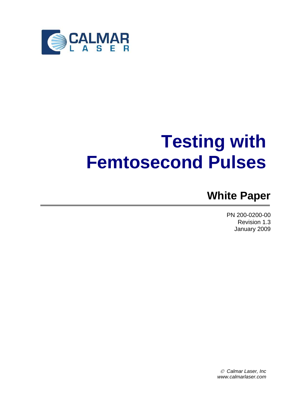

# **Testing with Femtosecond Pulses**

# **White Paper**

PN 200-0200-00 Revision 1.3 January 2009

© *Calmar Laser, Inc www.calmarlaser.com*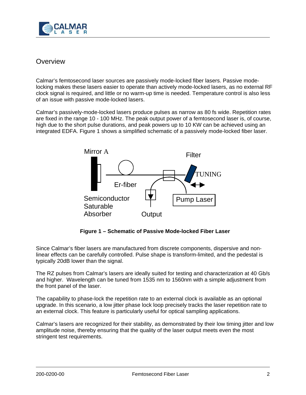

# **Overview**

Calmar's femtosecond laser sources are passively mode-locked fiber lasers. Passive modelocking makes these lasers easier to operate than actively mode-locked lasers, as no external RF clock signal is required, and little or no warm-up time is needed. Temperature control is also less of an issue with passive mode-locked lasers.

Calmar's passively-mode-locked lasers produce pulses as narrow as 80 fs wide. Repetition rates are fixed in the range 10 - 100 MHz. The peak output power of a femtosecond laser is, of course, high due to the short pulse durations, and peak powers up to 10 KW can be achieved using an integrated EDFA. Figure 1 shows a simplified schematic of a passively mode-locked fiber laser.



**Figure 1 – Schematic of Passive Mode-locked Fiber Laser** 

Since Calmar's fiber lasers are manufactured from discrete components, dispersive and nonlinear effects can be carefully controlled. Pulse shape is transform-limited, and the pedestal is typically 20dB lower than the signal.

The RZ pulses from Calmar's lasers are ideally suited for testing and characterization at 40 Gb/s and higher. Wavelength can be tuned from 1535 nm to 1560nm with a simple adjustment from the front panel of the laser.

The capability to phase-lock the repetition rate to an external clock is available as an optional upgrade. In this scenario, a low jitter phase lock loop precisely tracks the laser repetition rate to an external clock. This feature is particularly useful for optical sampling applications.

Calmar's lasers are recognized for their stability, as demonstrated by their low timing jitter and low amplitude noise, thereby ensuring that the quality of the laser output meets even the most stringent test requirements.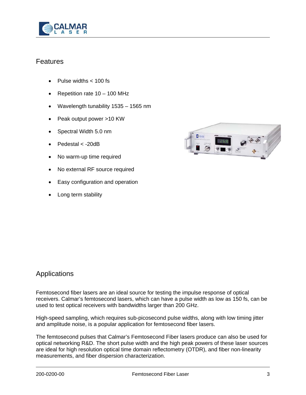

### Features

- Pulse widths < 100 fs
- Repetition rate 10 100 MHz
- Wavelength tunability 1535 1565 nm
- Peak output power >10 KW
- Spectral Width 5.0 nm
- Pedestal < -20dB
- No warm-up time required
- No external RF source required
- Easy configuration and operation
- Long term stability



# Applications

Femtosecond fiber lasers are an ideal source for testing the impulse response of optical receivers. Calmar's femtosecond lasers, which can have a pulse width as low as 150 fs, can be used to test optical receivers with bandwidths larger than 200 GHz.

High-speed sampling, which requires sub-picosecond pulse widths, along with low timing jitter and amplitude noise, is a popular application for femtosecond fiber lasers.

The femtosecond pulses that Calmar's Femtosecond Fiber lasers produce can also be used for optical networking R&D. The short pulse width and the high peak powers of these laser sources are ideal for high resolution optical time domain reflectometry (OTDR), and fiber non-linearity measurements, and fiber dispersion characterization.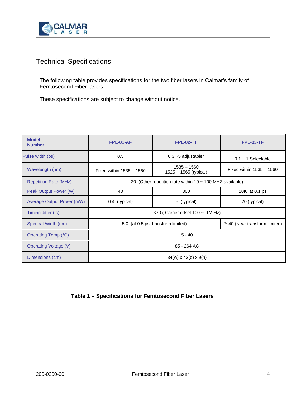

# Technical Specifications

The following table provides specifications for the two fiber lasers in Calmar's family of Femtosecond Fiber lasers.

These specifications are subject to change without notice.

| <b>Model</b><br><b>Number</b> | <b>FPL-01-AF</b>                                              | <b>FPL-02-TT</b>                         | <b>FPL-03-TF</b>              |
|-------------------------------|---------------------------------------------------------------|------------------------------------------|-------------------------------|
| Pulse width (ps)              | 0.5                                                           | $0.3 - 5$ adjustable*                    | $0.1 - 1$ Selectable          |
| Wavelength (nm)               | Fixed within $1535 - 1560$                                    | $1535 - 1560$<br>$1525 - 1565$ (typical) | Fixed within $1535 - 1560$    |
| <b>Repetition Rate (MHz)</b>  | 20 (Other repetition rate within $10 \sim 100$ MHZ available) |                                          |                               |
| Peak Output Power (W)         | 40                                                            | 300                                      | 10K at 0.1 ps                 |
| Average Output Power (mW)     | 0.4 (typical)                                                 | 5 (typical)                              | 20 (typical)                  |
| Timing Jitter (fs)            | $<$ 70 (Carrier offset 100 $\sim$ 1M Hz)                      |                                          |                               |
| Spectral Width (nm)           | 5.0 (at 0.5 ps, transform limited)                            |                                          | 2~40 (Near transform limited) |
| Operating Temp (°C)           | $5 - 40$                                                      |                                          |                               |
| <b>Operating Voltage (V)</b>  | 85 - 264 AC                                                   |                                          |                               |
| Dimensions (cm)               | $34(w) \times 42(d) \times 9(h)$                              |                                          |                               |

#### **Table 1 – Specifications for Femtosecond Fiber Lasers**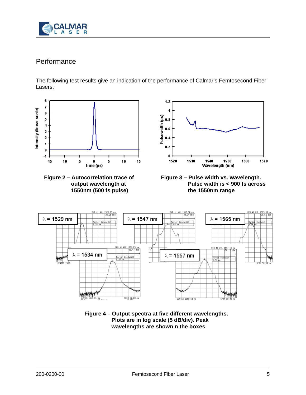

# **Performance**

The following test results give an indication of the performance of Calmar's Femtosecond Fiber Lasers.



**Figure 4 – Output spectra at five different wavelengths. Plots are in log scale (5 dB/div). Peak wavelengths are shown n the boxes**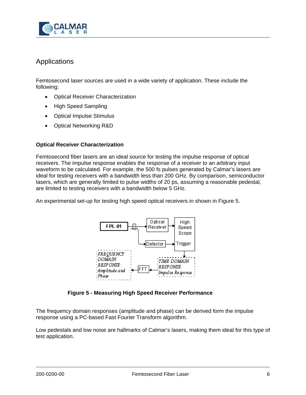

# Applications

Femtosecond laser sources are used in a wide variety of application. These include the following:

- Optical Receiver Characterization
- High Speed Sampling
- Optical Impulse Stimulus
- Optical Networking R&D

#### **Optical Receiver Characterization**

Femtosecond fiber lasers are an ideal source for testing the impulse response of optical receivers. The impulse response enables the response of a receiver to an arbitrary input waveform to be calculated. For example, the 500 fs pulses generated by Calmar's lasers are ideal for testing receivers with a bandwidth less than 200 GHz. By comparison, semiconductor lasers, which are generally limited to pulse widths of 20 ps, assuming a reasonable pedestal, are limited to testing receivers with a bandwidth below 5 GHz.

An experimental set-up for testing high speed optical receivers in shown in Figure 5.



#### **Figure 5 - Measuring High Speed Receiver Performance**

The frequency domain responses (amplitude and phase) can be derived form the impulse response using a PC-based Fast Fourier Transform algorithm.

Low pedestals and low noise are hallmarks of Calmar's lasers, making them ideal for this type of test application.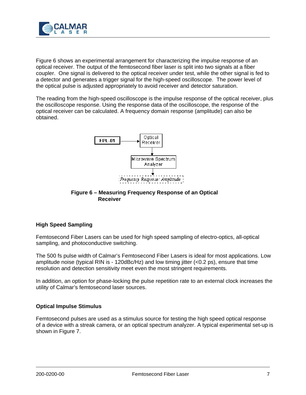

Figure 6 shows an experimental arrangement for characterizing the impulse response of an optical receiver. The output of the femtosecond fiber laser is split into two signals at a fiber coupler. One signal is delivered to the optical receiver under test, while the other signal is fed to a detector and generates a trigger signal for the high-speed oscilloscope. The power level of the optical pulse is adjusted appropriately to avoid receiver and detector saturation.

The reading from the high-speed oscilloscope is the impulse response of the optical receiver, plus the oscilloscope response. Using the response data of the oscilloscope, the response of the optical receiver can be calculated. A frequency domain response (amplitude) can also be obtained.



#### **Figure 6 – Measuring Frequency Response of an Optical Receiver**

#### **High Speed Sampling**

Femtosecond Fiber Lasers can be used for high speed sampling of electro-optics, all-optical sampling, and photoconductive switching.

The 500 fs pulse width of Calmar's Femtosecond Fiber Lasers is ideal for most applications. Low amplitude noise (typical RIN is - 120dBc/Hz) and low timing jitter  $(<0.2 \text{ ps})$ , ensure that time resolution and detection sensitivity meet even the most stringent requirements.

In addition, an option for phase-locking the pulse repetition rate to an external clock increases the utility of Calmar's femtosecond laser sources.

#### **Optical Impulse Stimulus**

Femtosecond pulses are used as a stimulus source for testing the high speed optical response of a device with a streak camera, or an optical spectrum analyzer. A typical experimental set-up is shown in Figure 7.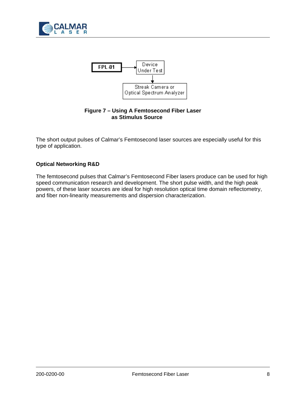



#### **Figure 7 – Using A Femtosecond Fiber Laser as Stimulus Source**

The short output pulses of Calmar's Femtosecond laser sources are especially useful for this type of application.

#### **Optical Networking R&D**

The femtosecond pulses that Calmar's Femtosecond Fiber lasers produce can be used for high speed communication research and development. The short pulse width, and the high peak powers, of these laser sources are ideal for high resolution optical time domain reflectometry, and fiber non-linearity measurements and dispersion characterization.